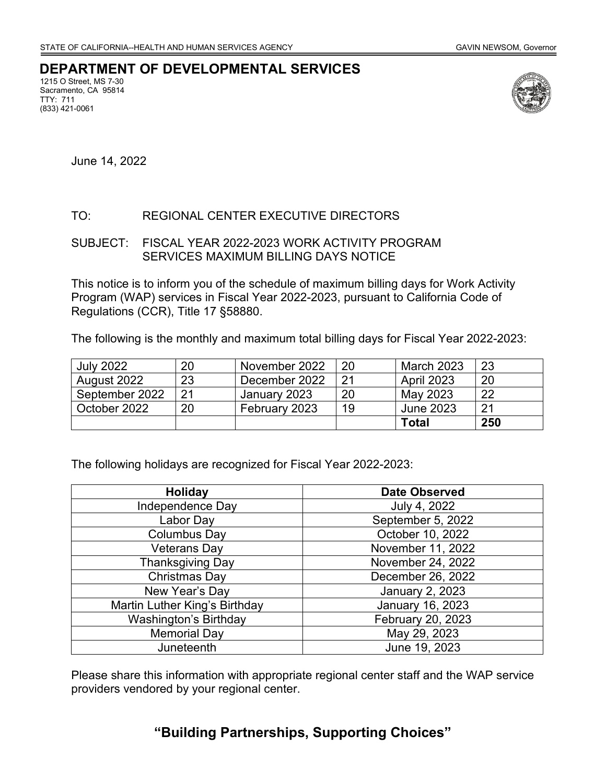## **DEPARTMENT OF DEVELOPMENTAL SERVICES**

1215 O Street, MS 7-30 Sacramento, CA 95814 TTY: 711 (833) 421-0061



June 14, 2022

### TO: REGIONAL CENTER EXECUTIVE DIRECTORS

#### SUBJECT: FISCAL YEAR 2022-2023 WORK ACTIVITY PROGRAM SERVICES MAXIMUM BILLING DAYS NOTICE

This notice is to inform you of the schedule of maximum billing days for Work Activity Program (WAP) services in Fiscal Year 2022-2023, pursuant to California Code of Regulations (CCR), Title 17 §58880.

The following is the monthly and maximum total billing days for Fiscal Year 2022-2023:

| <b>July 2022</b> | 20 | November 2022 | 20 | March 2023        | 23  |
|------------------|----|---------------|----|-------------------|-----|
| August 2022      | 23 | December 2022 |    | <b>April 2023</b> | 20  |
| September 2022   | 21 | January 2023  | 20 | May 2023          | 22  |
| October 2022     | 20 | February 2023 | 19 | June 2023         | 21  |
|                  |    |               |    | Total             | 250 |

The following holidays are recognized for Fiscal Year 2022-2023:

| <b>Holiday</b>                | <b>Date Observed</b>   |  |  |
|-------------------------------|------------------------|--|--|
| Independence Day              | July 4, 2022           |  |  |
| Labor Day                     | September 5, 2022      |  |  |
| Columbus Day                  | October 10, 2022       |  |  |
| <b>Veterans Day</b>           | November 11, 2022      |  |  |
| <b>Thanksgiving Day</b>       | November 24, 2022      |  |  |
| Christmas Day                 | December 26, 2022      |  |  |
| New Year's Day                | <b>January 2, 2023</b> |  |  |
| Martin Luther King's Birthday | January 16, 2023       |  |  |
| Washington's Birthday         | February 20, 2023      |  |  |
| <b>Memorial Day</b>           | May 29, 2023           |  |  |
| Juneteenth                    | June 19, 2023          |  |  |

Please share this information with appropriate regional center staff and the WAP service providers vendored by your regional center.

# **"Building Partnerships, Supporting Choices"**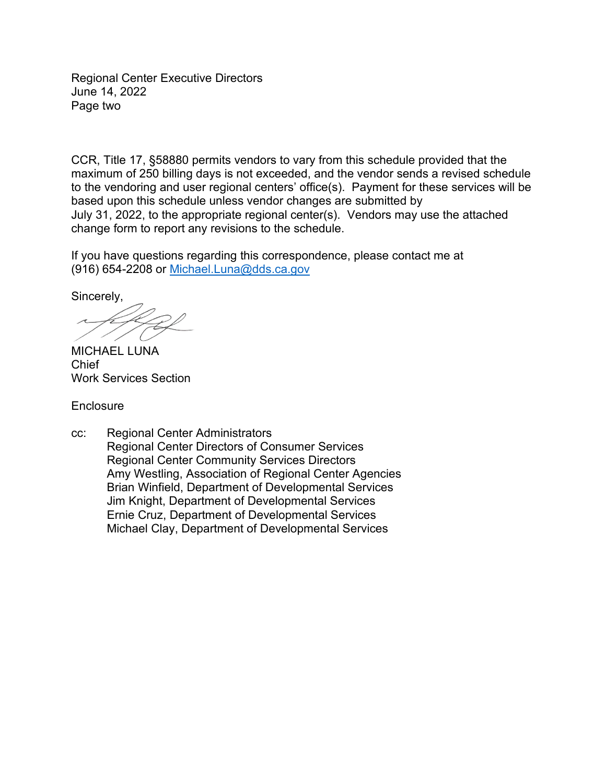Regional Center Executive Directors June 14, 2022 Page two

CCR, Title 17, §58880 permits vendors to vary from this schedule provided that the maximum of 250 billing days is not exceeded, and the vendor sends a revised schedule to the vendoring and user regional centers' office(s). Payment for these services will be based upon this schedule unless vendor changes are submitted by July 31, 2022, to the appropriate regional center(s). Vendors may use the attached change form to report any revisions to the schedule.

If you have questions regarding this correspondence, please contact me at (916) 654-2208 or [Michael.Luna@dds.ca.gov](mailto:Michael.Luna@dds.ca.gov) 

Sincerely,

MICHAEL LUNA Chief Work Services Section

**Enclosure** 

cc: Regional Center Administrators Regional Center Directors of Consumer Services Regional Center Community Services Directors Amy Westling, Association of Regional Center Agencies Brian Winfield, Department of Developmental Services Jim Knight, Department of Developmental Services Ernie Cruz, Department of Developmental Services Michael Clay, Department of Developmental Services